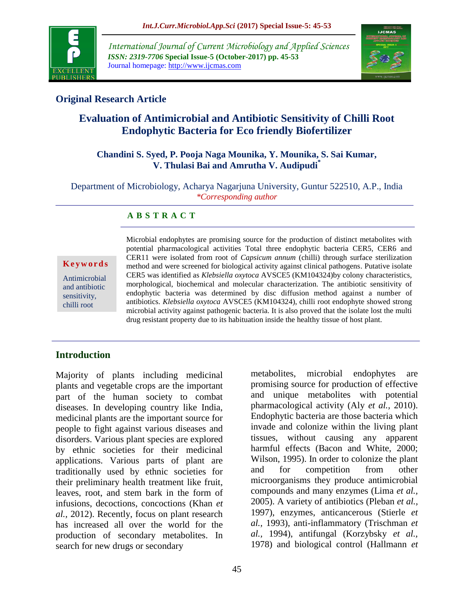

*International Journal of Current Microbiology and Applied Sciences ISSN: 2319-7706* **Special Issue-5 (October-2017) pp. 45-53** Journal homepage: http://www.ijcmas.com



## **Original Research Article**

# **Evaluation of Antimicrobial and Antibiotic Sensitivity of Chilli Root Endophytic Bacteria for Eco friendly Biofertilizer**

### **Chandini S. Syed, P. Pooja Naga Mounika, Y. Mounika, S. Sai Kumar, V. Thulasi Bai and Amrutha V. Audipudi\***

Department of Microbiology, Acharya Nagarjuna University, Guntur 522510, A.P., India *\*Corresponding author*

## **A B S T R A C T**

#### **K e y w o r d s**

Antimicrobial and antibiotic sensitivity, chilli root

Microbial endophytes are promising source for the production of distinct metabolites with potential pharmacological activities Total three endophytic bacteria CER5, CER6 and CER11 were isolated from root of *Capsicum annum* (chilli) through surface sterilization method and were screened for biological activity against clinical pathogens. Putative isolate CER5 was identified as *Klebsiella oxytoca* AVSCE5 (KM104324)by colony characteristics, morphological, biochemical and molecular characterization. The antibiotic sensitivity of endophytic bacteria was determined by disc diffusion method against a number of antibiotics. *Klebsiella oxytoca* AVSCE5 (KM104324), chilli root endophyte showed strong microbial activity against pathogenic bacteria. It is also proved that the isolate lost the multi drug resistant property due to its habituation inside the healthy tissue of host plant.

## **Introduction**

Majority of plants including medicinal plants and vegetable crops are the important part of the human society to combat diseases. In developing country like India, medicinal plants are the important source for people to fight against various diseases and disorders. Various plant species are explored by ethnic societies for their medicinal applications. Various parts of plant are traditionally used by ethnic societies for their preliminary health treatment like fruit, leaves, root, and stem bark in the form of infusions, decoctions, concoctions (Khan *et al.,* 2012). Recently, focus on plant research has increased all over the world for the production of secondary metabolites. In search for new drugs or secondary

metabolites, microbial endophytes are promising source for production of effective and unique metabolites with potential pharmacological activity (Aly *et al.,* 2010). Endophytic bacteria are those bacteria which invade and colonize within the living plant tissues, without causing any apparent harmful effects (Bacon and White, 2000; Wilson, 1995). In order to colonize the plant and for competition from other microorganisms they produce antimicrobial compounds and many enzymes (Lima *et al.,* 2005). A variety of antibiotics (Pleban *et al.,* 1997), enzymes, anticancerous (Stierle *et al.,* 1993), anti-inflammatory (Trischman *et al.,* 1994), antifungal (Korzybsky *et al.,* 1978) and biological control (Hallmann *et*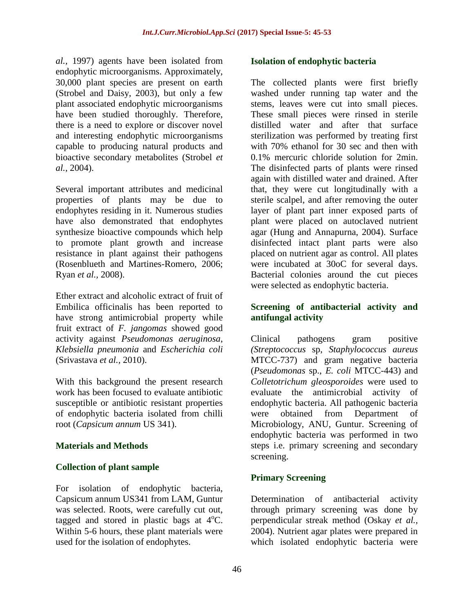*al.,* 1997) agents have been isolated from endophytic microorganisms. Approximately, 30,000 plant species are present on earth (Strobel and Daisy, 2003), but only a few plant associated endophytic microorganisms have been studied thoroughly. Therefore, there is a need to explore or discover novel and interesting endophytic microorganisms capable to producing natural products and bioactive secondary metabolites (Strobel *et al.,* 2004).

Several important attributes and medicinal properties of plants may be due to endophytes residing in it. Numerous studies have also demonstrated that endophytes synthesize bioactive compounds which help to promote plant growth and increase resistance in plant against their pathogens (Rosenblueth and Martines-Romero, 2006; Ryan *et al.,* 2008).

Ether extract and alcoholic extract of fruit of Embilica officinalis has been reported to have strong antimicrobial property while fruit extract of *F. jangomas* showed good activity against *Pseudomonas aeruginosa*, *Klebsiella pneumonia* and *Escherichia coli* (Srivastava *et al.,* 2010).

With this background the present research work has been focused to evaluate antibiotic susceptible or antibiotic resistant properties of endophytic bacteria isolated from chilli root (*Capsicum annum* US 341).

## **Materials and Methods**

## **Collection of plant sample**

For isolation of endophytic bacteria, Capsicum annum US341 from LAM, Guntur was selected. Roots, were carefully cut out, tagged and stored in plastic bags at  $4^{\circ}$ C. Within 5-6 hours, these plant materials were used for the isolation of endophytes.

## **Isolation of endophytic bacteria**

The collected plants were first briefly washed under running tap water and the stems, leaves were cut into small pieces. These small pieces were rinsed in sterile distilled water and after that surface sterilization was performed by treating first with 70% ethanol for 30 sec and then with 0.1% mercuric chloride solution for 2min. The disinfected parts of plants were rinsed again with distilled water and drained. After that, they were cut longitudinally with a sterile scalpel, and after removing the outer layer of plant part inner exposed parts of plant were placed on autoclaved nutrient agar (Hung and Annapurna, 2004). Surface disinfected intact plant parts were also placed on nutrient agar as control. All plates were incubated at 30oC for several days. Bacterial colonies around the cut pieces were selected as endophytic bacteria.

## **Screening of antibacterial activity and antifungal activity**

Clinical pathogens gram positive *(Streptococcus* sp, *Staphylococcus aureus* MTCC-737) and gram negative bacteria (*Pseudomonas* sp., *E. coli* MTCC-443) and *Colletotrichum gleosporoides* were used to evaluate the antimicrobial activity of endophytic bacteria. All pathogenic bacteria were obtained from Department of Microbiology, ANU, Guntur. Screening of endophytic bacteria was performed in two steps i.e. primary screening and secondary screening.

## **Primary Screening**

Determination of antibacterial activity through primary screening was done by perpendicular streak method (Oskay *et al.,* 2004). Nutrient agar plates were prepared in which isolated endophytic bacteria were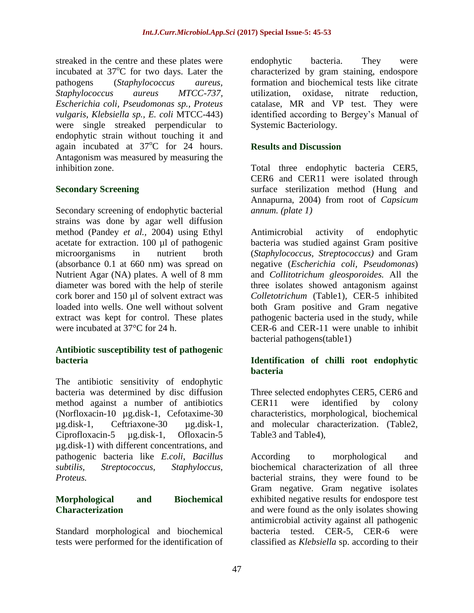streaked in the centre and these plates were incubated at  $37^{\circ}$ C for two days. Later the pathogens (*Staphylococcus aureus, Staphylococcus aureus MTCC-737, Escherichia coli, Pseudomonas sp., Proteus vulgaris, Klebsiella sp., E. coli* MTCC-443) were single streaked perpendicular to endophytic strain without touching it and again incubated at  $37^{\circ}$ C for 24 hours. Antagonism was measured by measuring the inhibition zone.

#### **Secondary Screening**

Secondary screening of endophytic bacterial strains was done by agar well diffusion method (Pandey *et al.,* 2004) using Ethyl acetate for extraction. 100 µl of pathogenic microorganisms in nutrient broth (absorbance 0.1 at 660 nm) was spread on Nutrient Agar (NA) plates. A well of 8 mm diameter was bored with the help of sterile cork borer and 150 µl of solvent extract was loaded into wells. One well without solvent extract was kept for control. These plates were incubated at 37°C for 24 h.

#### **Antibiotic susceptibility test of pathogenic bacteria**

The antibiotic sensitivity of endophytic bacteria was determined by disc diffusion method against a number of antibiotics (Norfloxacin-10 µg.disk-1, Cefotaxime-30 µg.disk-1, Ceftriaxone-30 µg.disk-1, Ciprofloxacin-5 µg.disk-1, Ofloxacin-5 µg.disk-1) with different concentrations, and pathogenic bacteria like *E.coli*, *Bacillus subtilis, Streptococcus, Staphyloccus, Proteus.*

## **Morphological and Biochemical Characterization**

Standard morphological and biochemical tests were performed for the identification of endophytic bacteria. They were characterized by gram staining, endospore formation and biochemical tests like citrate utilization, oxidase, nitrate reduction, catalase, MR and VP test. They were identified according to Bergey's Manual of Systemic Bacteriology.

### **Results and Discussion**

Total three endophytic bacteria CER5, CER6 and CER11 were isolated through surface sterilization method (Hung and Annapurna, 2004) from root of *Capsicum annum. (plate 1)*

Antimicrobial activity of endophytic bacteria was studied against Gram positive (*Staphylococcus, Streptococcus)* and Gram negative (*Escherichia coli, Pseudomonas*) and *Collitotrichum gleosporoides.* All the three isolates showed antagonism against *Colletotrichum* (Table1), CER-5 inhibited both Gram positive and Gram negative pathogenic bacteria used in the study, while CER-6 and CER-11 were unable to inhibit bacterial pathogens(table1)

#### **Identification of chilli root endophytic bacteria**

Three selected endophytes CER5, CER6 and CER11 were identified by colony characteristics, morphological, biochemical and molecular characterization. (Table2, Table3 and Table4),

According to morphological and biochemical characterization of all three bacterial strains, they were found to be Gram negative. Gram negative isolates exhibited negative results for endospore test and were found as the only isolates showing antimicrobial activity against all pathogenic bacteria tested. CER-5, CER-6 were classified as *Klebsiella* sp. according to their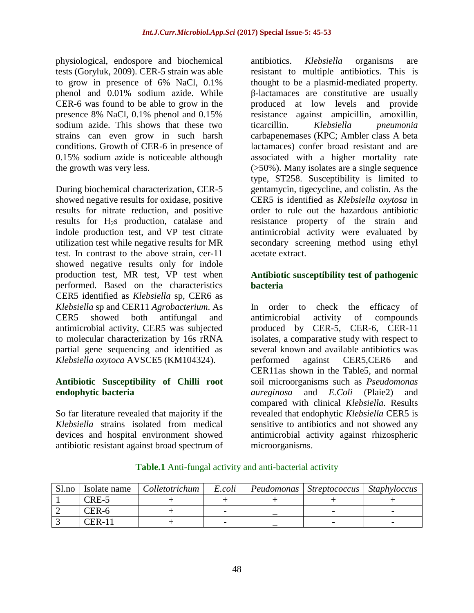physiological, endospore and biochemical tests (Goryluk, 2009). CER-5 strain was able to grow in presence of 6% NaCl, 0.1% phenol and 0.01% sodium azide. While CER-6 was found to be able to grow in the presence 8% NaCl, 0.1% phenol and 0.15% sodium azide. This shows that these two strains can even grow in such harsh conditions. Growth of CER-6 in presence of 0.15% sodium azide is noticeable although the growth was very less.

During biochemical characterization, CER-5 showed negative results for oxidase, positive results for nitrate reduction, and positive results for H2s production, catalase and indole production test, and VP test citrate utilization test while negative results for MR test. In contrast to the above strain, cer-11 showed negative results only for indole production test, MR test, VP test when performed. Based on the characteristics CER5 identified as *Klebsiella* sp, CER6 as *Klebsiella* sp and CER11 *Agrobacterium*. As CER5 showed both antifungal and antimicrobial activity, CER5 was subjected to molecular characterization by 16s rRNA partial gene sequencing and identified as *Klebsiella oxytoca* AVSCE5 (KM104324).

## **Antibiotic Susceptibility of Chilli root endophytic bacteria**

So far literature revealed that majority if the *Klebsiella* strains isolated from medical devices and hospital environment showed antibiotic resistant against broad spectrum of

antibiotics. *Klebsiella* organisms are resistant to multiple antibiotics. This is thought to be a plasmid-mediated property. β-lactamaces are constitutive are usually produced at low levels and provide resistance against ampicillin, amoxillin, ticarcillin. *Klebsiella pneumonia* carbapenemases (KPC; Ambler class A beta lactamaces) confer broad resistant and are associated with a higher mortality rate (>50%). Many isolates are a single sequence type, ST258. Susceptibility is limited to gentamycin, tigecycline, and colistin. As the CER5 is identified as *Klebsiella oxytosa* in order to rule out the hazardous antibiotic resistance property of the strain and antimicrobial activity were evaluated by secondary screening method using ethyl acetate extract.

## **Antibiotic susceptibility test of pathogenic bacteria**

In order to check the efficacy of antimicrobial activity of compounds produced by CER-5, CER-6, CER-11 isolates, a comparative study with respect to several known and available antibiotics was performed against CER5,CER6 and CER11as shown in the Table5, and normal soil microorganisms such as *Pseudomonas aureginosa* and *E.Coli* (Plaie2) and compared with clinical *Klebsiella.* Results revealed that endophytic *Klebsiella* CER5 is sensitive to antibiotics and not showed any antimicrobial activity against rhizospheric microorganisms.

| Sl.no | Isolate name | Colletotrichum | E.coli | Peudomonas | $\vert$ Streptococcus $\vert$ Staphyloccus |  |
|-------|--------------|----------------|--------|------------|--------------------------------------------|--|
|       | CRE-5        |                |        |            |                                            |  |
|       | CER-6        |                |        |            |                                            |  |
|       | $"FR-1"$     |                |        |            |                                            |  |

#### **Table.1** Anti-fungal activity and anti-bacterial activity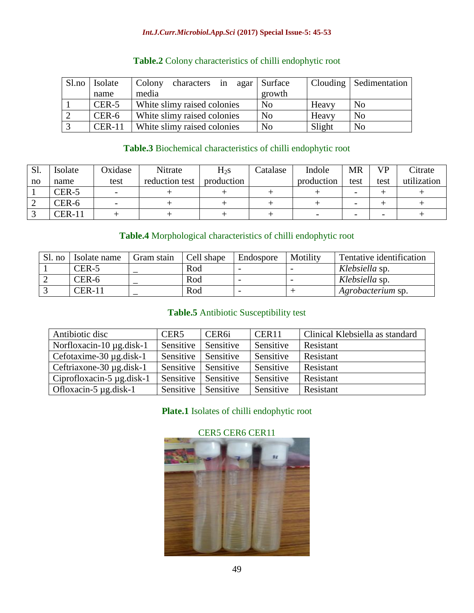#### *Int.J.Curr.Microbiol.App.Sci* **(2017) Special Issue-5: 45-53**

| Sl.no   Isolate | characters in agar Surface<br>Colony |                |        | Clouding   Sedimentation |
|-----------------|--------------------------------------|----------------|--------|--------------------------|
| name            | media                                | growth         |        |                          |
| CER-5           | White slimy raised colonies          | N <sub>0</sub> | Heavy  | No                       |
| CER-6           | White slimy raised colonies          | N <sub>o</sub> | Heavy  | N <sub>0</sub>           |
| $CER-11$        | White slimy raised colonies          | N <sub>o</sub> | Slight | N <sub>o</sub>           |

## **Table.2** Colony characteristics of chilli endophytic root

## **Table.3** Biochemical characteristics of chilli endophytic root

| Sl. | Isolate | Oxidase | Nitrate        | $H_{2S}$   | Catalase | Indole     | MR                       | VD.                      | Citrate     |
|-----|---------|---------|----------------|------------|----------|------------|--------------------------|--------------------------|-------------|
| no  | name    | test    | reduction test | production |          | production | test                     | test                     | utilization |
|     | CER-5   |         |                |            |          |            | $\overline{\phantom{0}}$ |                          |             |
| ∠   | CER-6   |         |                |            |          |            | $\overline{\phantom{0}}$ |                          |             |
|     | CER-11  |         |                |            |          |            | $\overline{\phantom{0}}$ | $\overline{\phantom{0}}$ |             |

## **Table.4** Morphological characteristics of chilli endophytic root

| Sl. no | Isolate name | Gram stain | Cell shape | Endospore | Motility | Tentative identification |
|--------|--------------|------------|------------|-----------|----------|--------------------------|
|        | CER-5        |            | Rod        |           |          | Klebsiella sp.           |
|        | CER-6        |            | Rod        |           |          | Klebsiella sp.           |
|        | $CER-11$     |            | Rod        |           |          | Agrobacterium sp.        |

## **Table.5** Antibiotic Susceptibility test

| Antibiotic disc                | CER <sub>5</sub> | CER <sub>6i</sub> | CER11     | Clinical Klebsiella as standard |
|--------------------------------|------------------|-------------------|-----------|---------------------------------|
| Norfloxacin-10 $\mu$ g.disk-1  | Sensitive        | Sensitive         | Sensitive | Resistant                       |
| Cefotaxime-30 $\mu$ g.disk-1   | Sensitive        | Sensitive         | Sensitive | Resistant                       |
| Ceftriaxone-30 $\mu$ g.disk-1  | Sensitive        | Sensitive         | Sensitive | Resistant                       |
| Ciprofloxacin-5 $\mu$ g.disk-1 | Sensitive        | Sensitive         | Sensitive | Resistant                       |
| Ofloxacin-5 $\mu$ g.disk-1     | Sensitive        | Sensitive         | Sensitive | Resistant                       |

## **Plate.1** Isolates of chilli endophytic root



## CER5 CER6 CER11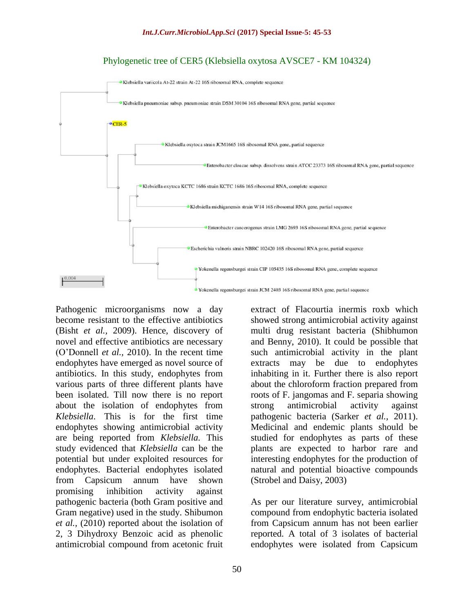



Pathogenic microorganisms now a day become resistant to the effective antibiotics (Bisht *et al.,* 2009). Hence, discovery of novel and effective antibiotics are necessary (O'Donnell *et al.,* 2010). In the recent time endophytes have emerged as novel source of antibiotics. In this study, endophytes from various parts of three different plants have been isolated. Till now there is no report about the isolation of endophytes from *Klebsiella*. This is for the first time endophytes showing antimicrobial activity are being reported from *Klebsiella.* This study evidenced that *Klebsiella* can be the potential but under exploited resources for endophytes. Bacterial endophytes isolated from Capsicum annum have shown promising inhibition activity against pathogenic bacteria (both Gram positive and Gram negative) used in the study. Shibumon *et al.,* (2010) reported about the isolation of 2, 3 Dihydroxy Benzoic acid as phenolic antimicrobial compound from acetonic fruit

extract of Flacourtia inermis roxb which showed strong antimicrobial activity against multi drug resistant bacteria (Shibhumon and Benny, 2010). It could be possible that such antimicrobial activity in the plant extracts may be due to endophytes inhabiting in it. Further there is also report about the chloroform fraction prepared from roots of F. jangomas and F. separia showing strong antimicrobial activity against pathogenic bacteria (Sarker *et al.,* 2011). Medicinal and endemic plants should be studied for endophytes as parts of these plants are expected to harbor rare and interesting endophytes for the production of natural and potential bioactive compounds (Strobel and Daisy, 2003)

As per our literature survey, antimicrobial compound from endophytic bacteria isolated from Capsicum annum has not been earlier reported. A total of 3 isolates of bacterial endophytes were isolated from Capsicum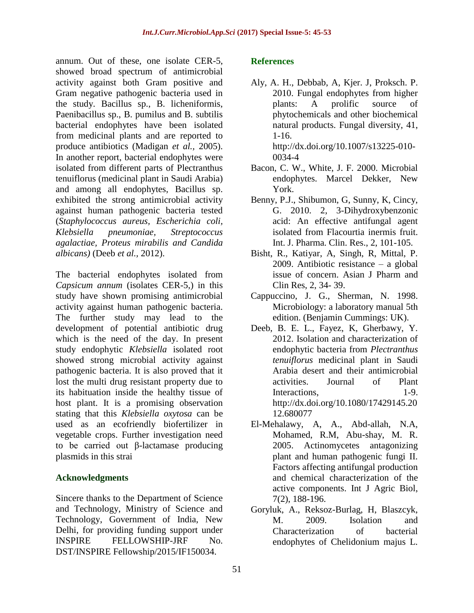annum. Out of these, one isolate CER-5, showed broad spectrum of antimicrobial activity against both Gram positive and Gram negative pathogenic bacteria used in the study. Bacillus sp., B. licheniformis, Paenibacillus sp., B. pumilus and B. subtilis bacterial endophytes have been isolated from medicinal plants and are reported to produce antibiotics (Madigan *et al.,* 2005). In another report, bacterial endophytes were isolated from different parts of Plectranthus tenuiflorus (medicinal plant in Saudi Arabia) and among all endophytes, Bacillus sp. exhibited the strong antimicrobial activity against human pathogenic bacteria tested (*Staphylococcus aureus, Escherichia coli, Klebsiella pneumoniae, Streptococcus agalactiae, Proteus mirabilis and Candida albicans)* (Deeb *et al.,* 2012).

The bacterial endophytes isolated from *Capsicum annum* (isolates CER-5,) in this study have shown promising antimicrobial activity against human pathogenic bacteria. The further study may lead to the development of potential antibiotic drug which is the need of the day. In present study endophytic *Klebsiella* isolated root showed strong microbial activity against pathogenic bacteria. It is also proved that it lost the multi drug resistant property due to its habituation inside the healthy tissue of host plant. It is a promising observation stating that this *Klebsiella oxytosa* can be used as an ecofriendly biofertilizer in vegetable crops. Further investigation need to be carried out β-lactamase producing plasmids in this strai

## **Acknowledgments**

Sincere thanks to the Department of Science and Technology, Ministry of Science and Technology, Government of India, New Delhi, for providing funding support under INSPIRE FELLOWSHIP-JRF No. DST/INSPIRE Fellowship/2015/IF150034.

## **References**

- Aly, A. H., Debbab, A, Kjer. J, Proksch. P. 2010. Fungal endophytes from higher plants: A prolific source of phytochemicals and other biochemical natural products. Fungal diversity, 41, 1-16. [http://dx.doi.org/10.1007/s13225-010-](http://dx.doi.org/10.1007/s13225-010-0034-4) [0034-4](http://dx.doi.org/10.1007/s13225-010-0034-4)
- Bacon, C. W., White, J. F. 2000. Microbial endophytes. Marcel Dekker, New York.
- Benny, P.J., Shibumon, G, Sunny, K, Cincy, G. 2010. 2, 3-Dihydroxybenzonic acid: An effective antifungal agent isolated from Flacourtia inermis fruit. Int. J. Pharma. Clin. Res., 2, 101-105.
- Bisht, R., Katiyar, A, Singh, R, Mittal, P. 2009. Antibiotic resistance – a global issue of concern. Asian J Pharm and Clin Res, 2, 34- 39.
- Cappuccino, J. G., Sherman, N. 1998. Microbiology: a laboratory manual 5th edition. (Benjamin Cummings: UK).
- Deeb, B. E. L., Fayez, K, Gherbawy, Y. 2012. Isolation and characterization of endophytic bacteria from *Plectranthus tenuiflorus* medicinal plant in Saudi Arabia desert and their antimicrobial activities. Journal of Plant Interactions, 1-9. http://dx.doi.org/10.1080/17429145.20 12.680077
- El-Mehalawy, A, A., Abd-allah, N.A, Mohamed, R.M, Abu-shay, M. R. 2005. Actinomycetes antagonizing plant and human pathogenic fungi II. Factors affecting antifungal production and chemical characterization of the active components. Int J Agric Biol, 7(2), 188-196.
- Goryluk, A., Reksoz-Burlag, H, Blaszcyk, M. 2009. Isolation and Characterization of bacterial endophytes of Chelidonium majus L.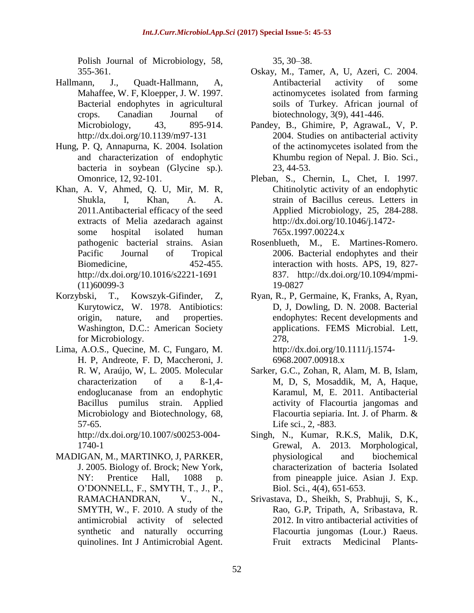Polish Journal of Microbiology, 58, 355-361.

- Hallmann, J., Quadt-Hallmann, A, Mahaffee, W. F, Kloepper, J. W. 1997. Bacterial endophytes in agricultural crops. Canadian Journal of Microbiology, 43, 895-914. http://dx.doi.org/10.1139/m97-131
- Hung, P. Q, Annapurna, K. 2004. Isolation and characterization of endophytic bacteria in soybean (Glycine sp.). Omonrice, 12, 92-101.
- Khan, A. V, Ahmed, Q. U, Mir, M. R, Shukla, I, Khan, A. A. 2011.Antibacterial efficacy of the seed extracts of Melia azedarach against some hospital isolated human pathogenic bacterial strains. Asian Pacific Journal of Tropical Biomedicine, 452-455. <http://dx.doi.org/10.1016/s2221-1691> (11)60099-3
- Korzybski, T., Kowszyk-Gifinder, Z, Kurytowicz, W. 1978. Antibiotics: origin, nature, and properties. Washington, D.C.: American Society for Microbiology.
- Lima, A.O.S., Quecine, M. C, Fungaro, M. H. P, Andreote, F. D, Maccheroni, J. R. W, Araújo, W, L. 2005. Molecular characterization of a ß-1,4 endoglucanase from an endophytic Bacillus pumilus strain. Applied Microbiology and Biotechnology, 68, 57-65.

http://dx.doi.org/10.1007/s00253-004- 1740-1

MADIGAN, M., MARTINKO, J, PARKER, J. 2005. Biology of. Brock; New York, NY: Prentice Hall, 1088 p. O'DONNELL, F., SMYTH, T., J., P., RAMACHANDRAN, V., N., SMYTH, W., F. 2010. A study of the antimicrobial activity of selected synthetic and naturally occurring quinolines. Int J Antimicrobial Agent.

35, 30–38.

- Oskay, M., Tamer, A, U, Azeri, C. 2004. Antibacterial activity of some actinomycetes isolated from farming soils of Turkey. African journal of biotechnology, 3(9), 441-446.
- Pandey, B., Ghimire, P, AgrawaL, V, P. 2004. Studies on antibacterial activity of the actinomycetes isolated from the Khumbu region of Nepal. J. Bio. Sci., 23, 44-53.
- Pleban, S., Chernin, L, Chet, I. 1997. Chitinolytic activity of an endophytic strain of Bacillus cereus. Letters in Applied Microbiology, 25, 284-288. http://dx.doi.org/10.1046/j.1472- 765x.1997.00224.x
- Rosenblueth, M., E. Martines-Romero. 2006. Bacterial endophytes and their interaction with hosts. APS, 19, 827- 837. http://dx.doi.org/10.1094/mpmi-19-0827
- Ryan, R., P, Germaine, K, Franks, A, Ryan, D, J, Dowling, D. N. 2008. Bacterial endophytes: Recent developments and applications. FEMS Microbial. Lett, 278, 1-9. http://dx.doi.org/10.1111/j.1574- 6968.2007.00918.x
- Sarker, G.C., Zohan, R, Alam, M. B, Islam, M, D, S, Mosaddik, M, A, Haque, Karamul, M, E. 2011. Antibacterial activity of Flacourtia jangomas and Flacourtia sepiaria. Int. J. of Pharm. & Life sci., 2, -883.
- Singh, N., Kumar, R.K.S, Malik, D.K, Grewal, A. 2013. Morphological, physiological and biochemical characterization of bacteria Isolated from pineapple juice. Asian J. Exp. Biol. Sci., 4(4), 651-653.
- Srivastava, D., Sheikh, S, Prabhuji, S, K., Rao, G.P, Tripath, A, Sribastava, R. 2012. In vitro antibacterial activities of Flacourtia jungomas (Lour.) Raeus. Fruit extracts Medicinal Plants-